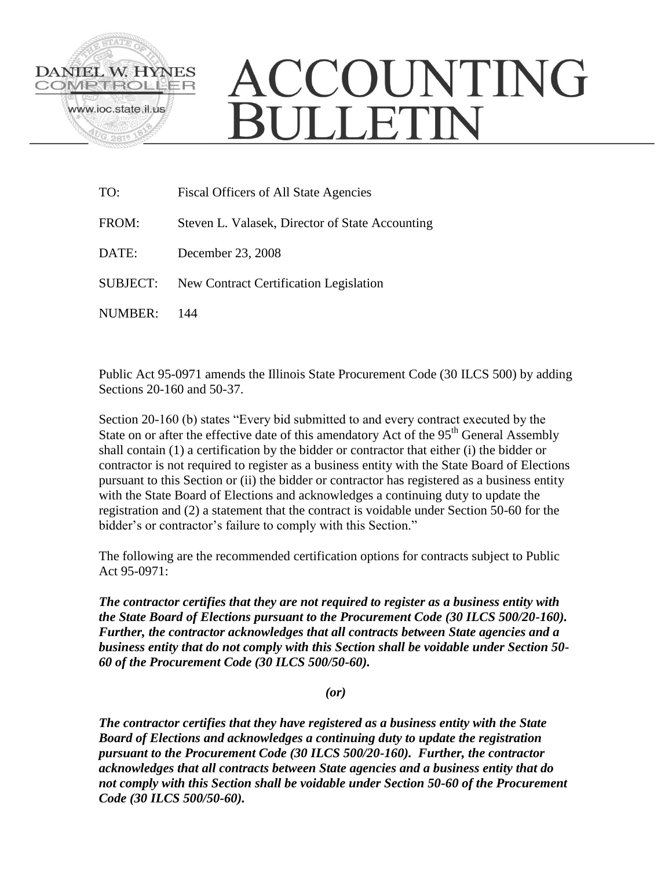

## ACCOUNTING **SULLETIN**

| TO:      | Fiscal Officers of All State Agencies           |
|----------|-------------------------------------------------|
| FROM:    | Steven L. Valasek, Director of State Accounting |
| DATE:    | December 23, 2008                               |
| SUBJECT: | New Contract Certification Legislation          |
| NUMBER:  | 144                                             |

Public Act 95-0971 amends the Illinois State Procurement Code (30 ILCS 500) by adding Sections 20-160 and 50-37.

Section 20-160 (b) states "Every bid submitted to and every contract executed by the State on or after the effective date of this amendatory Act of the 95<sup>th</sup> General Assembly shall contain (1) a certification by the bidder or contractor that either (i) the bidder or contractor is not required to register as a business entity with the State Board of Elections pursuant to this Section or (ii) the bidder or contractor has registered as a business entity with the State Board of Elections and acknowledges a continuing duty to update the registration and (2) a statement that the contract is voidable under Section 50-60 for the bidder's or contractor's failure to comply with this Section."

The following are the recommended certification options for contracts subject to Public Act 95-0971:

*The contractor certifies that they are not required to register as a business entity with the State Board of Elections pursuant to the Procurement Code (30 ILCS 500/20-160). Further, the contractor acknowledges that all contracts between State agencies and a business entity that do not comply with this Section shall be voidable under Section 50- 60 of the Procurement Code (30 ILCS 500/50-60).*

*(or)*

*The contractor certifies that they have registered as a business entity with the State Board of Elections and acknowledges a continuing duty to update the registration pursuant to the Procurement Code (30 ILCS 500/20-160). Further, the contractor acknowledges that all contracts between State agencies and a business entity that do not comply with this Section shall be voidable under Section 50-60 of the Procurement Code (30 ILCS 500/50-60).*